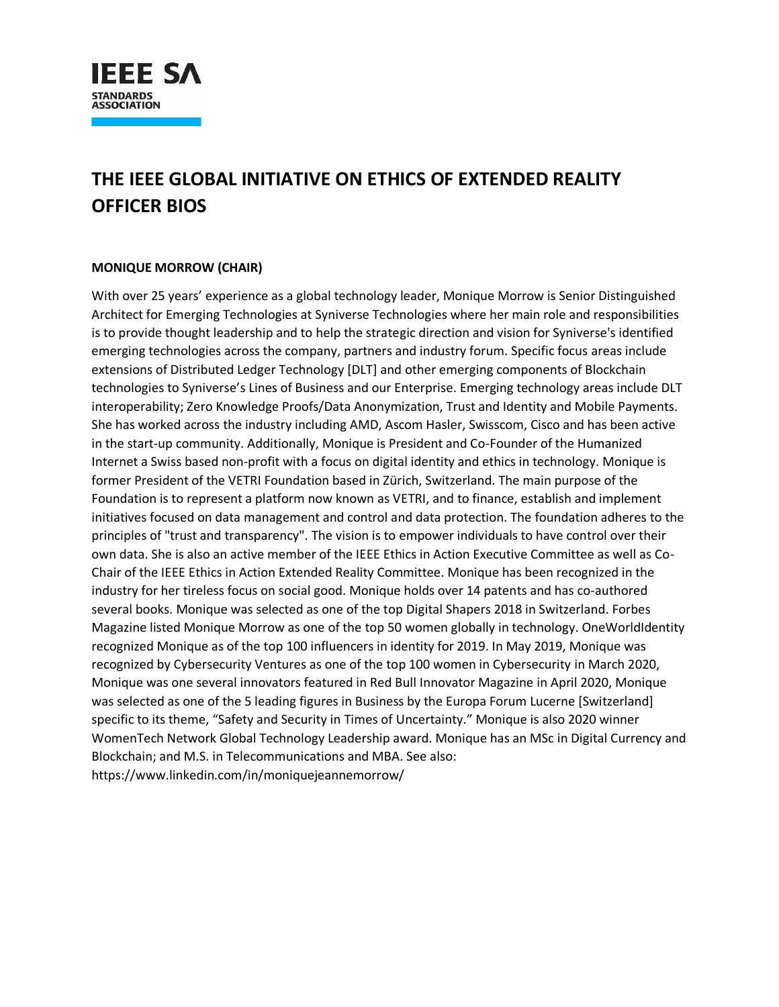

# **THE IEEE GLOBAL INITIATIVE ON ETHICS OF EXTENDED REALITY OFFICER BIOS**

### **MONIQUE MORROW (CHAIR)**

With over 25 years' experience as a global technology leader, Monique Morrow is Senior Distinguished Architect for Emerging Technologies at Syniverse Technologies where her main role and responsibilities is to provide thought leadership and to help the strategic direction and vision for Syniverse's identified emerging technologies across the company, partners and industry forum. Specific focus areas include extensions of Distributed Ledger Technology [DLT] and other emerging components of Blockchain technologies to Syniverse's Lines of Business and our Enterprise. Emerging technology areas include DLT interoperability; Zero Knowledge Proofs/Data Anonymization, Trust and Identity and Mobile Payments. She has worked across the industry including AMD, Ascom Hasler, Swisscom, Cisco and has been active in the start-up community. Additionally, Monique is President and Co-Founder of the Humanized Internet a Swiss based non-profit with a focus on digital identity and ethics in technology. Monique is former President of the VETRI Foundation based in Zürich, Switzerland. The main purpose of the Foundation is to represent a platform now known as VETRI, and to finance, establish and implement initiatives focused on data management and control and data protection. The foundation adheres to the principles of "trust and transparency". The vision is to empower individuals to have control over their own data. She is also an active member of the IEEE Ethics in Action Executive Committee as well as Co-Chair of the IEEE Ethics in Action Extended Reality Committee. Monique has been recognized in the industry for her tireless focus on social good. Monique holds over 14 patents and has co-authored several books. Monique was selected as one of the top Digital Shapers 2018 in Switzerland. Forbes Magazine listed Monique Morrow as one of the top 50 women globally in technology. OneWorldIdentity recognized Monique as of the top 100 influencers in identity for 2019. In May 2019, Monique was recognized by Cybersecurity Ventures as one of the top 100 women in Cybersecurity in March 2020, Monique was one several innovators featured in Red Bull Innovator Magazine in April 2020, Monique was selected as one of the 5 leading figures in Business by the Europa Forum Lucerne [Switzerland] specific to its theme, "Safety and Security in Times of Uncertainty." Monique is also 2020 winner WomenTech Network Global Technology Leadership award. Monique has an MSc in Digital Currency and Blockchain; and M.S. in Telecommunications and MBA. See also: https://www.linkedin.com/in/moniquejeannemorrow/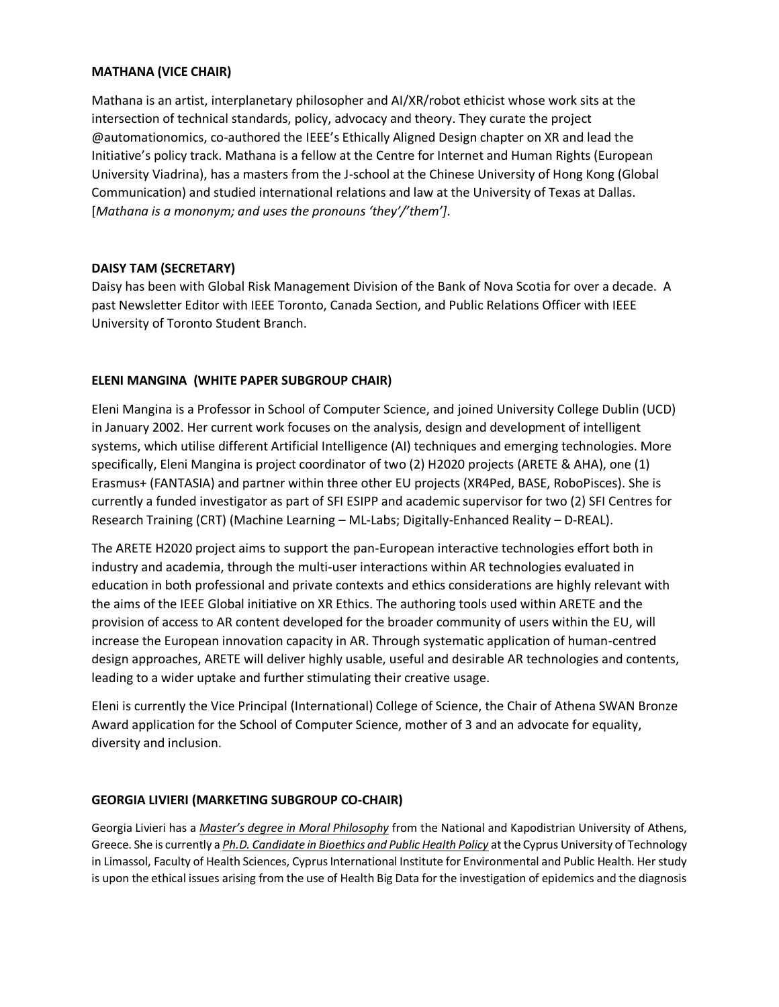#### **MATHANA (VICE CHAIR)**

Mathana is an artist, interplanetary philosopher and AI/XR/robot ethicist whose work sits at the intersection of technical standards, policy, advocacy and theory. They curate the project @automationomics, co-authored the IEEE's Ethically Aligned Design chapter on XR and lead the Initiative's policy track. Mathana is a fellow at the Centre for Internet and Human Rights (European University Viadrina), has a masters from the J-school at the Chinese University of Hong Kong (Global Communication) and studied international relations and law at the University of Texas at Dallas. [*Mathana is a mononym; and uses the pronouns 'they'/'them']*.

### **DAISY TAM (SECRETARY)**

Daisy has been with Global Risk Management Division of the Bank of Nova Scotia for over a decade. A past Newsletter Editor with IEEE Toronto, Canada Section, and Public Relations Officer with IEEE University of Toronto Student Branch.

## **ELENI MANGINA (WHITE PAPER SUBGROUP CHAIR)**

Eleni Mangina is a Professor in School of Computer Science, and joined University College Dublin (UCD) in January 2002. Her current work focuses on the analysis, design and development of intelligent systems, which utilise different Artificial Intelligence (AI) techniques and emerging technologies. More specifically, Eleni Mangina is project coordinator of two (2) H2020 projects (ARETE & AHA), one (1) Erasmus+ (FANTASIA) and partner within three other EU projects (XR4Ped, BASE, RoboPisces). She is currently a funded investigator as part of SFI ESIPP and academic supervisor for two (2) SFI Centres for Research Training (CRT) (Machine Learning – ML-Labs; Digitally-Enhanced Reality – D-REAL).

The ARETE H2020 project aims to support the pan-European interactive technologies effort both in industry and academia, through the multi-user interactions within AR technologies evaluated in education in both professional and private contexts and ethics considerations are highly relevant with the aims of the IEEE Global initiative on XR Ethics. The authoring tools used within ARETE and the provision of access to AR content developed for the broader community of users within the EU, will increase the European innovation capacity in AR. Through systematic application of human-centred design approaches, ARETE will deliver highly usable, useful and desirable AR technologies and contents, leading to a wider uptake and further stimulating their creative usage.

Eleni is currently the Vice Principal (International) College of Science, the Chair of Athena SWAN Bronze Award application for the School of Computer Science, mother of 3 and an advocate for equality, diversity and inclusion.

### **GEORGIA LIVIERI (MARKETING SUBGROUP CO-CHAIR)**

Georgia Livieri has a *Master's degree in Moral Philosophy* from the National and Kapodistrian University of Athens, Greece. She is currently a *Ph.D. Candidate in Bioethics and Public Health Policy* at the Cyprus University of Technology in Limassol, Faculty of Health Sciences, Cyprus International Institute for Environmental and Public Health. Her study is upon the ethical issues arising from the use of Health Big Data for the investigation of epidemics and the diagnosis